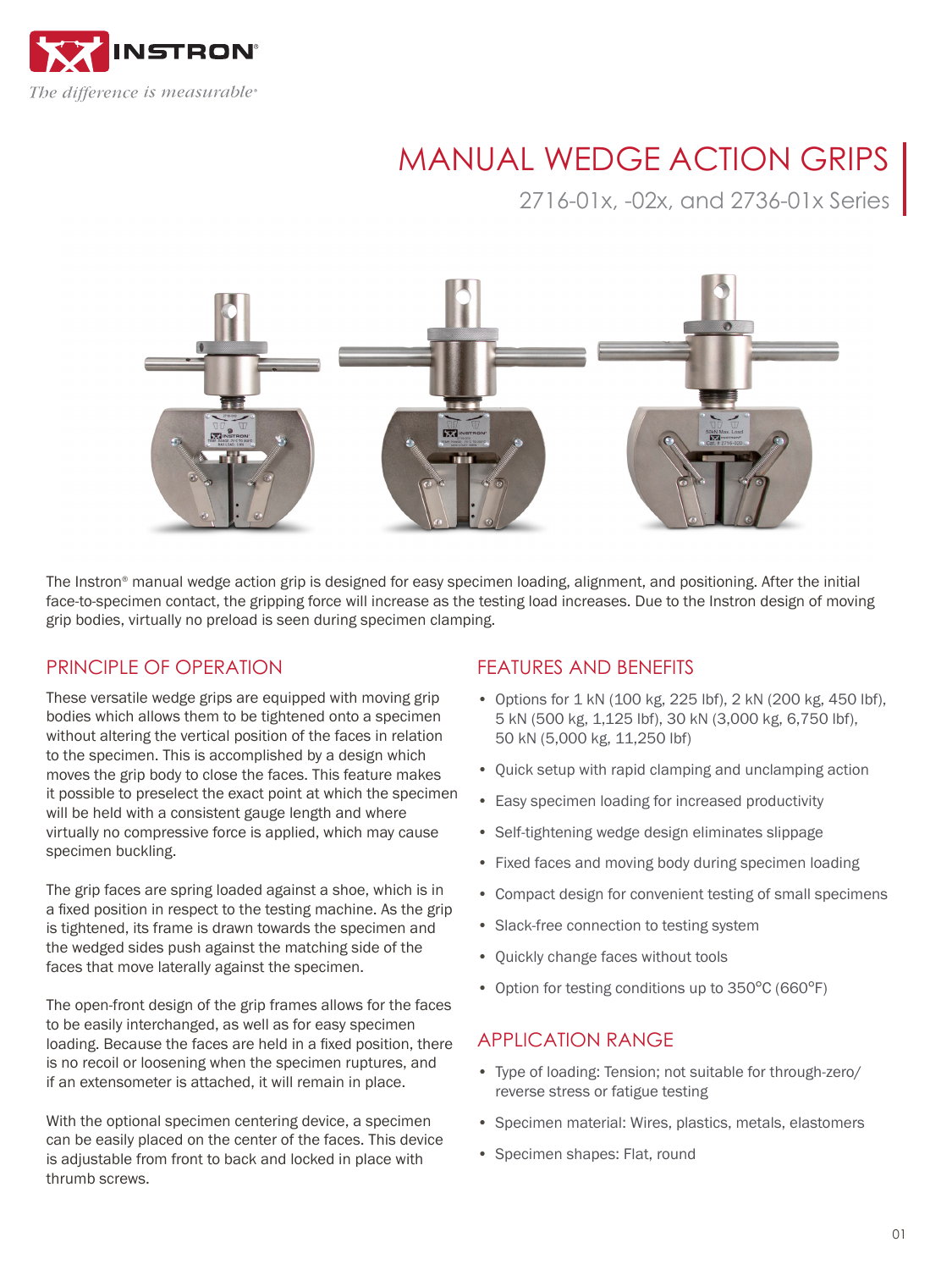

# MANUAL WEDGE ACTION GRIPS

2716-01x, -02x, and 2736-01x Series



The Instron® manual wedge action grip is designed for easy specimen loading, alignment, and positioning. After the initial face-to-specimen contact, the gripping force will increase as the testing load increases. Due to the Instron design of moving grip bodies, virtually no preload is seen during specimen clamping.

### PRINCIPLE OF OPERATION

These versatile wedge grips are equipped with moving grip bodies which allows them to be tightened onto a specimen without altering the vertical position of the faces in relation to the specimen. This is accomplished by a design which moves the grip body to close the faces. This feature makes it possible to preselect the exact point at which the specimen will be held with a consistent gauge length and where virtually no compressive force is applied, which may cause specimen buckling.

The grip faces are spring loaded against a shoe, which is in a fixed position in respect to the testing machine. As the grip is tightened, its frame is drawn towards the specimen and the wedged sides push against the matching side of the faces that move laterally against the specimen.

The open-front design of the grip frames allows for the faces to be easily interchanged, as well as for easy specimen loading. Because the faces are held in a fixed position, there is no recoil or loosening when the specimen ruptures, and if an extensometer is attached, it will remain in place.

With the optional specimen centering device, a specimen can be easily placed on the center of the faces. This device is adjustable from front to back and locked in place with thrumb screws.

### FEATURES AND BENEFITS

- Options for 1 kN (100 kg, 225 lbf), 2 kN (200 kg, 450 lbf), 5 kN (500 kg, 1,125 lbf), 30 kN (3,000 kg, 6,750 lbf), 50 kN (5,000 kg, 11,250 lbf)
- Quick setup with rapid clamping and unclamping action
- Easy specimen loading for increased productivity
- Self-tightening wedge design eliminates slippage
- Fixed faces and moving body during specimen loading
- Compact design for convenient testing of small specimens
- Slack-free connection to testing system
- Quickly change faces without tools
- Option for testing conditions up to 350°C (660°F)

### APPLICATION RANGE

- Type of loading: Tension; not suitable for through-zero/ reverse stress or fatigue testing
- Specimen material: Wires, plastics, metals, elastomers
- Specimen shapes: Flat, round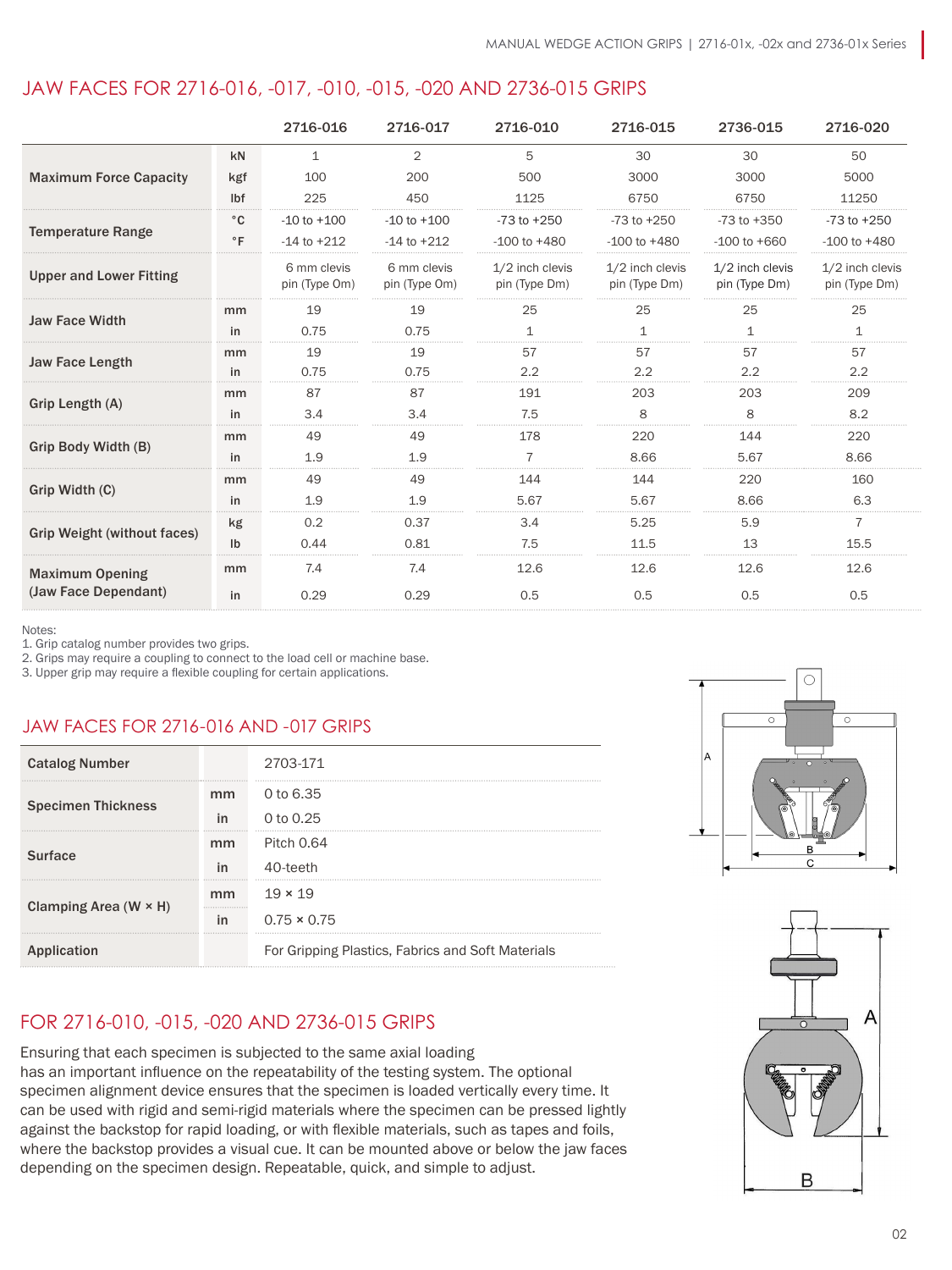### JAW FACES FOR 2716-016, -017, -010, -015, -020 AND 2736-015 GRIPS

|                                    |                | 2716-016                     | 2716-017                     | 2716-010                           | 2716-015                           | 2736-015                         | 2716-020                         |
|------------------------------------|----------------|------------------------------|------------------------------|------------------------------------|------------------------------------|----------------------------------|----------------------------------|
|                                    | kN             | 1                            | $\overline{2}$               | 5                                  | 30                                 | 30                               | 50                               |
| <b>Maximum Force Capacity</b>      | kgf            | 100                          | 200                          | 500                                | 3000                               | 3000                             | 5000                             |
|                                    | lbf            | 225                          | 450                          | 1125                               | 6750                               | 6750                             | 11250                            |
|                                    | $^{\circ}$ C   | $-10$ to $+100$              | $-10$ to $+100$              | $-73$ to $+250$                    | $-73$ to $+250$                    | $-73$ to $+350$                  | $-73$ to $+250$                  |
| <b>Temperature Range</b>           | $\circ$ F      | $-14$ to $+212$              | $-14$ to $+212$              | $-100$ to $+480$                   | $-100$ to $+480$                   | $-100$ to $+660$                 | $-100$ to $+480$                 |
| <b>Upper and Lower Fitting</b>     |                | 6 mm clevis<br>pin (Type Om) | 6 mm clevis<br>pin (Type Om) | $1/2$ inch clevis<br>pin (Type Dm) | $1/2$ inch clevis<br>pin (Type Dm) | 1/2 inch clevis<br>pin (Type Dm) | 1/2 inch clevis<br>pin (Type Dm) |
|                                    | mm             | 19                           | 19                           | 25                                 | 25                                 | 25                               | 25                               |
| <b>Jaw Face Width</b>              | in             | 0.75                         | 0.75                         | 1                                  | $\mathbf{1}$                       |                                  | 1                                |
|                                    | mm             | 19                           | 19                           | 57                                 | 57                                 | 57                               | 57                               |
| <b>Jaw Face Length</b>             | in             | 0.75                         | 0.75                         | 2.2                                | 2.2                                | 2.2                              | 2.2                              |
| Grip Length (A)                    | mm             | 87                           | 87                           | 191                                | 203                                | 203                              | 209                              |
|                                    | in             | 3.4                          | 3.4                          | 7.5                                | 8                                  | 8                                | 8.2                              |
|                                    | mm             | 49                           | 49                           | 178                                | 220                                | 144                              | 220                              |
| Grip Body Width (B)                | in             | 1.9                          | 1.9                          | $\overline{7}$                     | 8.66                               | 5.67                             | 8.66                             |
|                                    | mm             | 49                           | 49                           | 144                                | 144                                | 220                              | 160                              |
| Grip Width (C)                     | in             | 1.9                          | 1.9                          | 5.67                               | 5.67                               | 8.66                             | 6.3                              |
|                                    | kg             | 0.2                          | 0.37                         | 3.4                                | 5.25                               | 5.9                              | $\overline{7}$                   |
| <b>Grip Weight (without faces)</b> | I <sub>b</sub> | 0.44                         | 0.81                         | 7.5                                | 11.5                               | 13                               | 15.5                             |
| <b>Maximum Opening</b>             | mm             | 7.4                          | 7.4                          | 12.6                               | 12.6                               | 12.6                             | 12.6                             |
| (Jaw Face Dependant)               | in             | 0.29                         | 0.29                         | 0.5                                | 0.5                                | 0.5                              | 0.5                              |

Notes:

1. Grip catalog number provides two grips.

2. Grips may require a coupling to connect to the load cell or machine base.

3. Upper grip may require a flexible coupling for certain applications.

### JAW FACES FOR 2716-016 AND -017 GRIPS

| <b>Catalog Number</b>        |        | 2703-171                                          |  |  |  |
|------------------------------|--------|---------------------------------------------------|--|--|--|
| <b>Specimen Thickness</b>    | mm     | 0 to 6.35                                         |  |  |  |
|                              | in     | 0 to 0.25                                         |  |  |  |
| <b>Surface</b>               | mm     | <b>Pitch 0.64</b>                                 |  |  |  |
|                              | in     | 40-teeth                                          |  |  |  |
| Clamping Area $(W \times H)$ | mm<br> | $19 \times 19$                                    |  |  |  |
|                              | in     | $0.75 \times 0.75$                                |  |  |  |
| plication<br>Ap              |        | For Gripping Plastics, Fabrics and Soft Materials |  |  |  |

# $\circ$

### FOR 2716-010, -015, -020 AND 2736-015 GRIPS

Ensuring that each specimen is subjected to the same axial loading has an important influence on the repeatability of the testing system. The optional specimen alignment device ensures that the specimen is loaded vertically every time. It can be used with rigid and semi-rigid materials where the specimen can be pressed lightly against the backstop for rapid loading, or with flexible materials, such as tapes and foils, where the backstop provides a visual cue. It can be mounted above or below the jaw faces depending on the specimen design. Repeatable, quick, and simple to adjust.